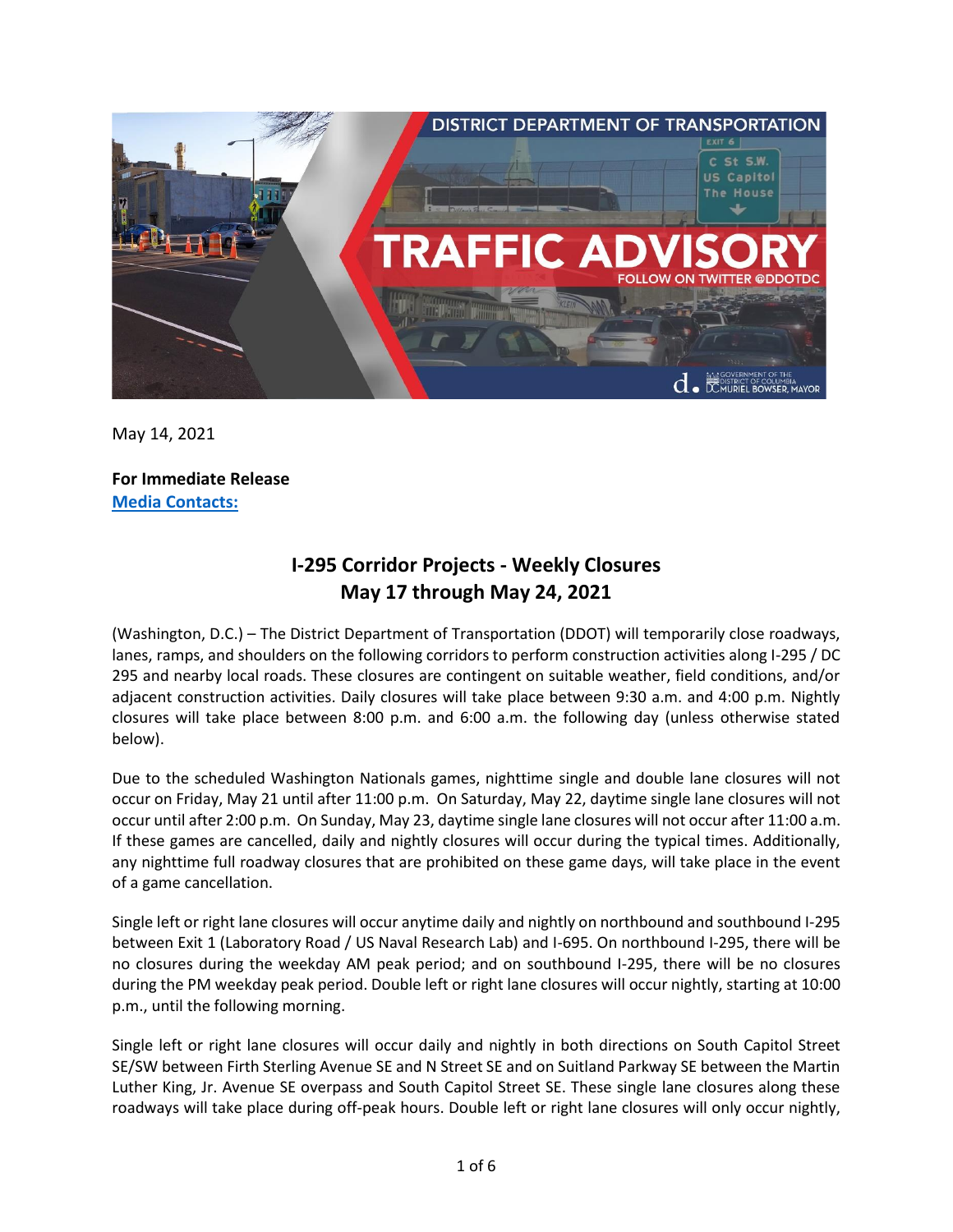

May 14, 2021

**For Immediate Release Media Contacts:**

## **I-295 Corridor Projects - Weekly Closures May 17 through May 24, 2021**

(Washington, D.C.) – The District Department of Transportation (DDOT) will temporarily close roadways, lanes, ramps, and shoulders on the following corridors to perform construction activities along I-295 / DC 295 and nearby local roads. These closures are contingent on suitable weather, field conditions, and/or adjacent construction activities. Daily closures will take place between 9:30 a.m. and 4:00 p.m. Nightly closures will take place between 8:00 p.m. and 6:00 a.m. the following day (unless otherwise stated below).

Due to the scheduled Washington Nationals games, nighttime single and double lane closures will not occur on Friday, May 21 until after 11:00 p.m. On Saturday, May 22, daytime single lane closures will not occur until after 2:00 p.m. On Sunday, May 23, daytime single lane closures will not occur after 11:00 a.m. If these games are cancelled, daily and nightly closures will occur during the typical times. Additionally, any nighttime full roadway closures that are prohibited on these game days, will take place in the event of a game cancellation.

Single left or right lane closures will occur anytime daily and nightly on northbound and southbound I-295 between Exit 1 (Laboratory Road / US Naval Research Lab) and I-695. On northbound I-295, there will be no closures during the weekday AM peak period; and on southbound I-295, there will be no closures during the PM weekday peak period. Double left or right lane closures will occur nightly, starting at 10:00 p.m., until the following morning.

Single left or right lane closures will occur daily and nightly in both directions on South Capitol Street SE/SW between Firth Sterling Avenue SE and N Street SE and on Suitland Parkway SE between the Martin Luther King, Jr. Avenue SE overpass and South Capitol Street SE. These single lane closures along these roadways will take place during off-peak hours. Double left or right lane closures will only occur nightly,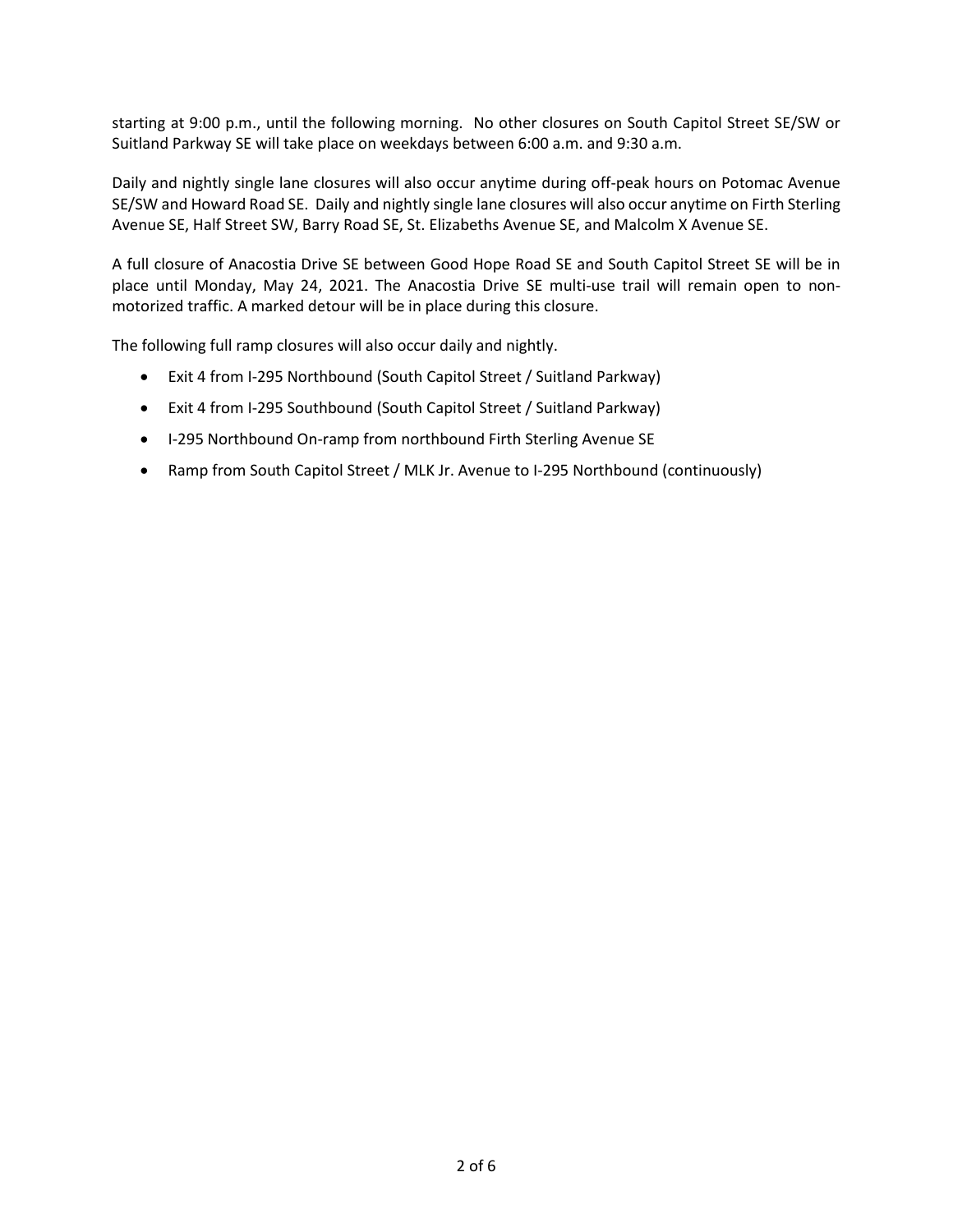starting at 9:00 p.m., until the following morning. No other closures on South Capitol Street SE/SW or Suitland Parkway SE will take place on weekdays between 6:00 a.m. and 9:30 a.m.

Daily and nightly single lane closures will also occur anytime during off-peak hours on Potomac Avenue SE/SW and Howard Road SE. Daily and nightly single lane closures will also occur anytime on Firth Sterling Avenue SE, Half Street SW, Barry Road SE, St. Elizabeths Avenue SE, and Malcolm X Avenue SE.

A full closure of Anacostia Drive SE between Good Hope Road SE and South Capitol Street SE will be in place until Monday, May 24, 2021. The Anacostia Drive SE multi-use trail will remain open to nonmotorized traffic. A marked detour will be in place during this closure.

The following full ramp closures will also occur daily and nightly.

- Exit 4 from I-295 Northbound (South Capitol Street / Suitland Parkway)
- Exit 4 from I-295 Southbound (South Capitol Street / Suitland Parkway)
- I-295 Northbound On-ramp from northbound Firth Sterling Avenue SE
- Ramp from South Capitol Street / MLK Jr. Avenue to I-295 Northbound (continuously)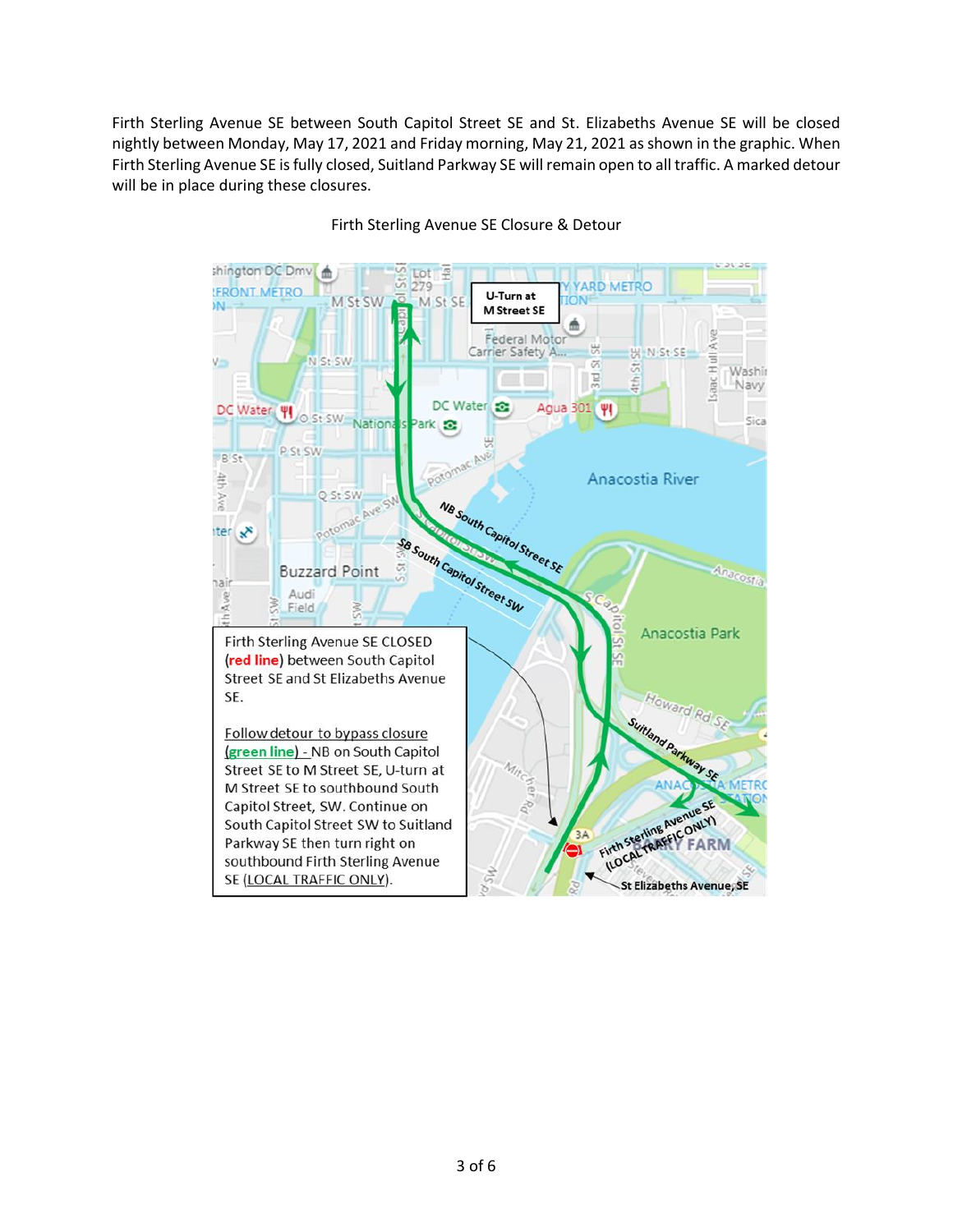Firth Sterling Avenue SE between South Capitol Street SE and St. Elizabeths Avenue SE will be closed nightly between Monday, May 17, 2021 and Friday morning, May 21, 2021 as shown in the graphic. When Firth Sterling Avenue SE is fully closed, Suitland Parkway SE will remain open to all traffic. A marked detour will be in place during these closures.



Firth Sterling Avenue SE Closure & Detour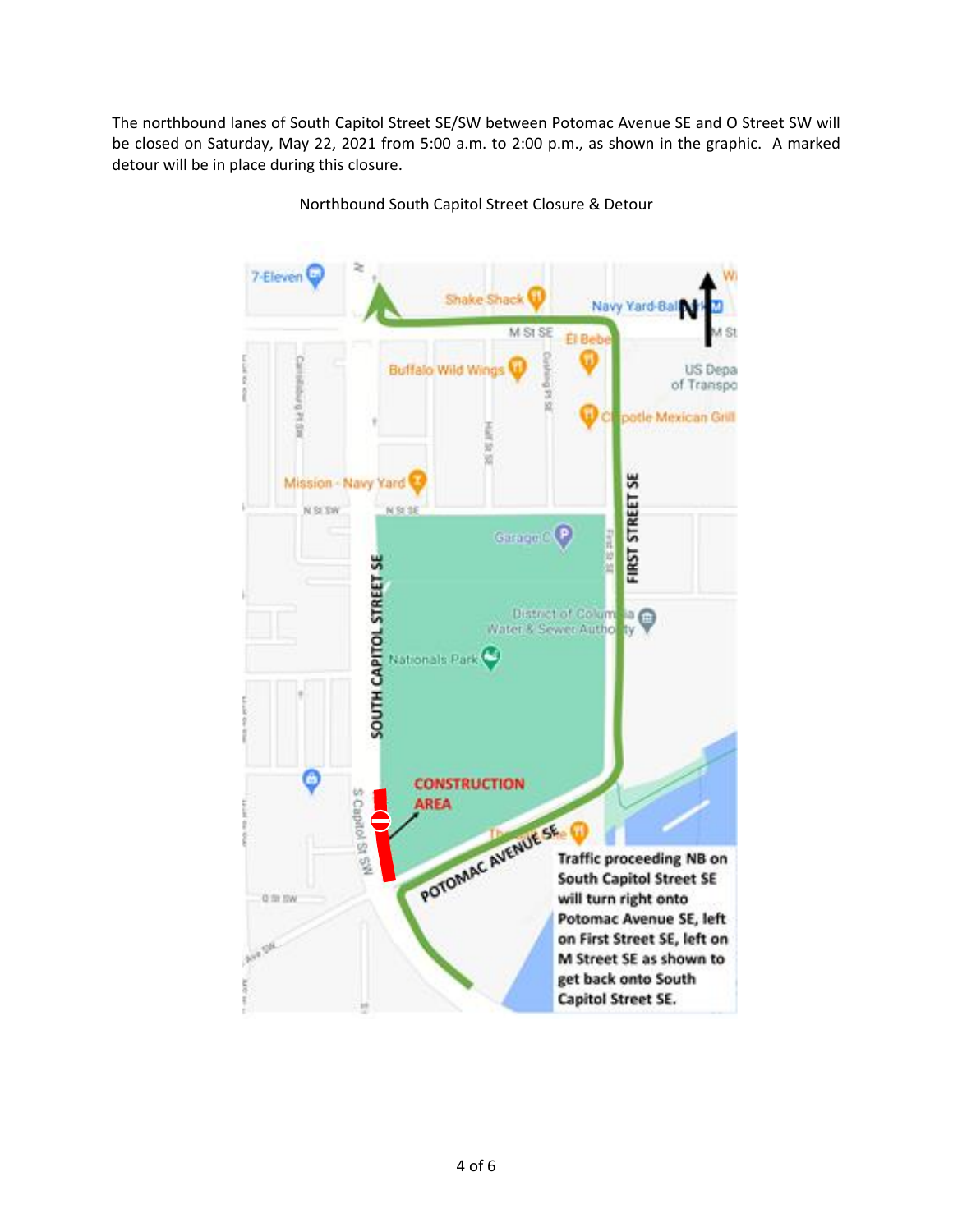The northbound lanes of South Capitol Street SE/SW between Potomac Avenue SE and O Street SW will be closed on Saturday, May 22, 2021 from 5:00 a.m. to 2:00 p.m., as shown in the graphic. A marked detour will be in place during this closure.

> 7-Eleven Shake Shack Navy Yard-Bal M SI SE Š **El Bel Buffalo Wild Wind** US Depa of Transpo 1514 ā potle Mexican Grill š ü ü **FIRST STREET SE** Mission - Navy Yard N SI SW N St SE Garage C P **SOUTH CAPITOL STREET SE** District of Columnation Nationals Park **CONSTRUCTION** S Capitol St 5<sup>99</sup> **AREA** POTOMAC AVENUE SE **Traffic proceeding NB on South Capitol Street SE** will turn right onto 0 ft ftw Potomac Avenue SE, left on First Street SE, left on M Street SE as shown to get back onto South Capitol Street SE.

Northbound South Capitol Street Closure & Detour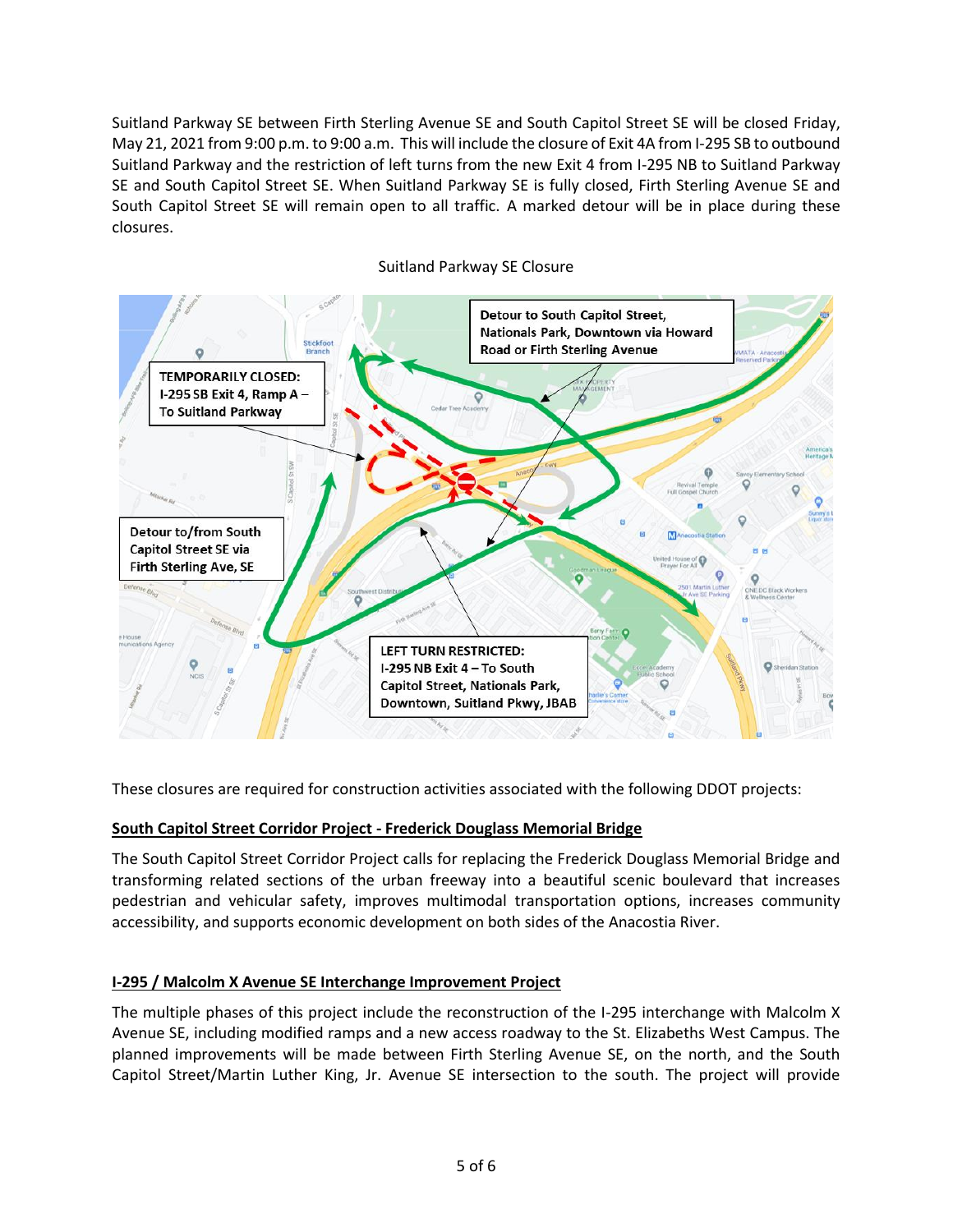Suitland Parkway SE between Firth Sterling Avenue SE and South Capitol Street SE will be closed Friday, May 21, 2021 from 9:00 p.m. to 9:00 a.m. This will include the closure of Exit 4A from I-295 SB to outbound Suitland Parkway and the restriction of left turns from the new Exit 4 from I-295 NB to Suitland Parkway SE and South Capitol Street SE. When Suitland Parkway SE is fully closed, Firth Sterling Avenue SE and South Capitol Street SE will remain open to all traffic. A marked detour will be in place during these closures.



## Suitland Parkway SE Closure

These closures are required for construction activities associated with the following DDOT projects:

## **South Capitol Street Corridor Project - Frederick Douglass Memorial Bridge**

The South Capitol Street Corridor Project calls for replacing the Frederick Douglass Memorial Bridge and transforming related sections of the urban freeway into a beautiful scenic boulevard that increases pedestrian and vehicular safety, improves multimodal transportation options, increases community accessibility, and supports economic development on both sides of the Anacostia River.

## **I-295 / Malcolm X Avenue SE Interchange Improvement Project**

The multiple phases of this project include the reconstruction of the I-295 interchange with Malcolm X Avenue SE, including modified ramps and a new access roadway to the St. Elizabeths West Campus. The planned improvements will be made between Firth Sterling Avenue SE, on the north, and the South Capitol Street/Martin Luther King, Jr. Avenue SE intersection to the south. The project will provide